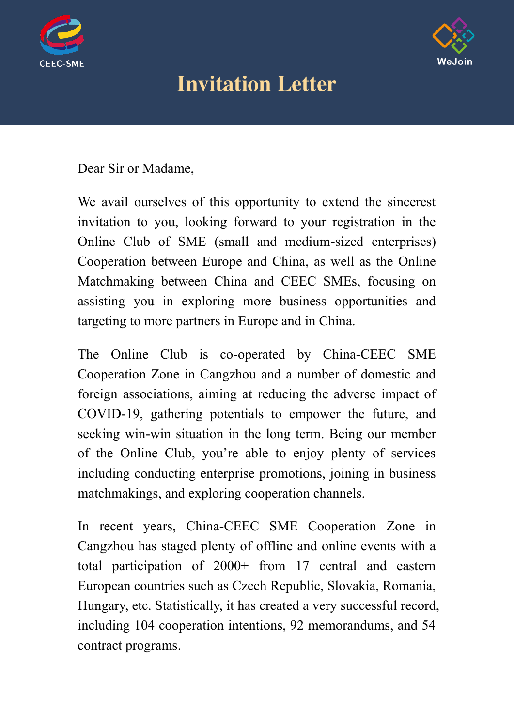



# Invitation Letter

Dear Sir or Madame,

We avail ourselves of this opportunity to extend the sincerest invitation to you, looking forward to your registration in the Online Club of SME (small and medium-sized enterprises) Cooperation between Europe and China, as well as the Online Matchmaking between China and CEEC SMEs, focusing on assisting you in exploring more business opportunities and targeting to more partners in Europe and in China.

The Online Club is co-operated by China-CEEC SME Cooperation Zone in Cangzhou and a number of domestic and foreign associations, aiming at reducing the adverse impact of COVID-19, gathering potentials to empower the future, and seeking win-win situation in the long term. Being our member of the Online Club, you're able to enjoy plenty of services including conducting enterprise promotions, joining in business matchmakings, and exploring cooperation channels.

In recent years, China-CEEC SME Cooperation Zone in Cangzhou has staged plenty of offline and online events with a total participation of 2000+ from 17 central and eastern European countries such as Czech Republic, Slovakia, Romania, Hungary, etc. Statistically, it has created a very successful record, including 104 cooperation intentions, 92 memorandums, and 54 contract programs.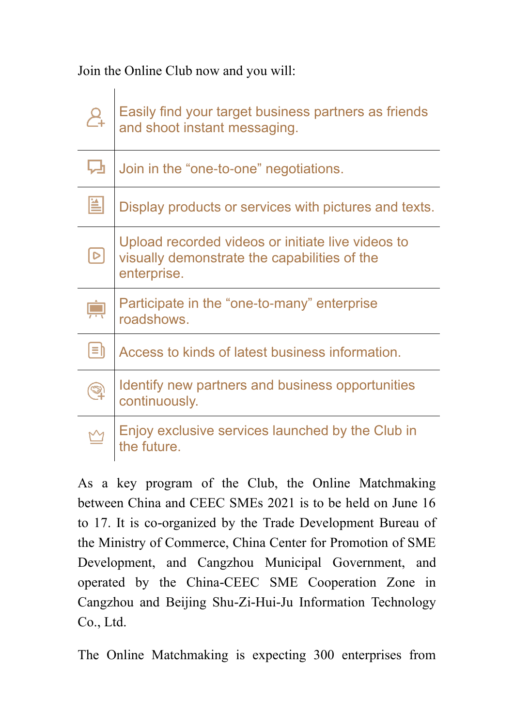Join the Online Club now and you will:

| $\lambda^{+}$ | Easily find your target business partners as friends<br>and shoot instant messaging.                             |
|---------------|------------------------------------------------------------------------------------------------------------------|
| ᇈ             | Join in the "one-to-one" negotiations.                                                                           |
| 菖             | Display products or services with pictures and texts.                                                            |
| $\mathsf{D}$  | Upload recorded videos or initiate live videos to<br>visually demonstrate the capabilities of the<br>enterprise. |
|               | Participate in the "one-to-many" enterprise<br>roadshows.                                                        |
| $ \equiv $    | Access to kinds of latest business information.                                                                  |
|               | Identify new partners and business opportunities<br>continuously.                                                |
|               | Enjoy exclusive services launched by the Club in<br>the future.                                                  |

As a key program of the Club, the Online Matchmaking between China and CEEC SMEs 2021 is to be held on June 16 to 17. It is co-organized by the Trade Development Bureau of the Ministry of Commerce, China Center for Promotion of SME Development, and Cangzhou Municipal Government, and operated by the China-CEEC SME Cooperation Zone in Cangzhou and Beijing Shu-Zi-Hui-Ju Information Technology Co., Ltd.

The Online Matchmaking is expecting 300 enterprises from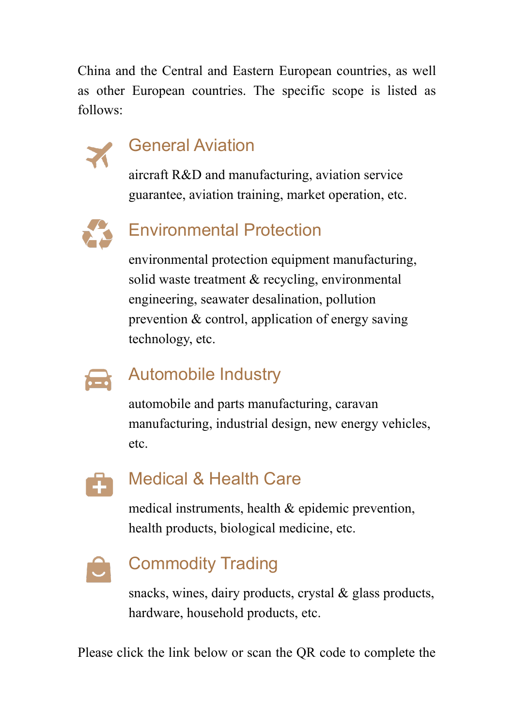China and the Central and Eastern European countries, as well as other European countries. The specific scope is listed as follows:



## General Aviation

aircraft R&D and manufacturing, aviation service guarantee, aviation training, market operation, etc.



## Environmental Protection

environmental protection equipment manufacturing, solid waste treatment & recycling, environmental engineering, seawater desalination, pollution prevention & control, application of energy saving technology, etc.



#### Automobile Industry

automobile and parts manufacturing, caravan manufacturing, industrial design, new energy vehicles, etc.



#### Medical & Health Care

medical instruments, health & epidemic prevention, health products, biological medicine, etc.



## Commodity Trading

snacks, wines, dairy products, crystal & glass products, hardware, household products, etc.

Please click the link below or scan the QR code to complete the